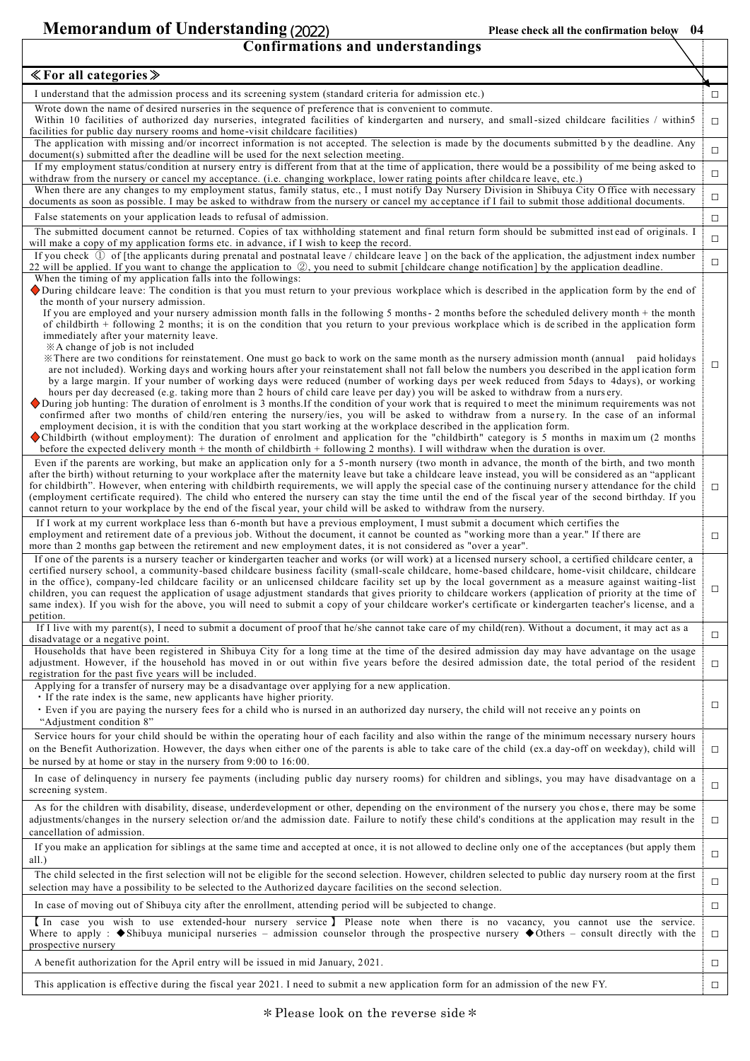**Memorandum of Understanding(2021) Please check all the confirmation below 04** (2022)

| $\ll$ For all categories $\gg$                                                                                                                                                                                                                                                                                                                                                                                                                                                                                                                                                                                                                                                                                                                                                                                                                                                                                                                                                                                                                             |        |
|------------------------------------------------------------------------------------------------------------------------------------------------------------------------------------------------------------------------------------------------------------------------------------------------------------------------------------------------------------------------------------------------------------------------------------------------------------------------------------------------------------------------------------------------------------------------------------------------------------------------------------------------------------------------------------------------------------------------------------------------------------------------------------------------------------------------------------------------------------------------------------------------------------------------------------------------------------------------------------------------------------------------------------------------------------|--------|
| I understand that the admission process and its screening system (standard criteria for admission etc.)                                                                                                                                                                                                                                                                                                                                                                                                                                                                                                                                                                                                                                                                                                                                                                                                                                                                                                                                                    | □      |
| Wrote down the name of desired nurseries in the sequence of preference that is convenient to commute.<br>Within 10 facilities of authorized day nurseries, integrated facilities of kindergarten and nursery, and small-sized childcare facilities / within5<br>facilities for public day nursery rooms and home-visit childcare facilities)                                                                                                                                                                                                                                                                                                                                                                                                                                                                                                                                                                                                                                                                                                               | $\Box$ |
| The application with missing and/or incorrect information is not accepted. The selection is made by the documents submitted by the deadline. Any<br>document(s) submitted after the deadline will be used for the next selection meeting.                                                                                                                                                                                                                                                                                                                                                                                                                                                                                                                                                                                                                                                                                                                                                                                                                  | $\Box$ |
| If my employment status/condition at nursery entry is different from that at the time of application, there would be a possibility of me being asked to                                                                                                                                                                                                                                                                                                                                                                                                                                                                                                                                                                                                                                                                                                                                                                                                                                                                                                    | $\Box$ |
| withdraw from the nursery or cancel my acceptance. (i.e. changing workplace, lower rating points after childcare leave, etc.)<br>When there are any changes to my employment status, family status, etc., I must notify Day Nursery Division in Shibuya City Office with necessary<br>documents as soon as possible. I may be asked to withdraw from the nursery or cancel my acceptance if I fail to submit those additional documents.                                                                                                                                                                                                                                                                                                                                                                                                                                                                                                                                                                                                                   | $\Box$ |
| False statements on your application leads to refusal of admission.                                                                                                                                                                                                                                                                                                                                                                                                                                                                                                                                                                                                                                                                                                                                                                                                                                                                                                                                                                                        | $\Box$ |
| The submitted document cannot be returned. Copies of tax withholding statement and final return form should be submitted instead of originals. I<br>will make a copy of my application forms etc. in advance, if I wish to keep the record.                                                                                                                                                                                                                                                                                                                                                                                                                                                                                                                                                                                                                                                                                                                                                                                                                | $\Box$ |
| If you check $\mathbb D$ of [the applicants during prenatal and postnatal leave / childcare leave ] on the back of the application, the adjustment index number<br>22 will be applied. If you want to change the application to 2, you need to submit [childcare change notification] by the application deadline.                                                                                                                                                                                                                                                                                                                                                                                                                                                                                                                                                                                                                                                                                                                                         | $\Box$ |
| When the timing of my application falls into the followings:<br>During childcare leave: The condition is that you must return to your previous workplace which is described in the application form by the end of<br>the month of your nursery admission.                                                                                                                                                                                                                                                                                                                                                                                                                                                                                                                                                                                                                                                                                                                                                                                                  |        |
| If you are employed and your nursery admission month falls in the following 5 months - 2 months before the scheduled delivery month + the month<br>of childbirth + following 2 months; it is on the condition that you return to your previous workplace which is described in the application form<br>immediately after your maternity leave.                                                                                                                                                                                                                                                                                                                                                                                                                                                                                                                                                                                                                                                                                                             |        |
| $X$ A change of job is not included<br>X There are two conditions for reinstatement. One must go back to work on the same month as the nursery admission month (annual paid holidays<br>are not included). Working days and working hours after your reinstatement shall not fall below the numbers you described in the application form<br>by a large margin. If your number of working days were reduced (number of working days per week reduced from 5days to 4days), or working<br>hours per day decreased (e.g. taking more than 2 hours of child care leave per day) you will be asked to withdraw from a nursery.<br>During job hunting: The duration of enrolment is 3 months. If the condition of your work that is required to meet the minimum requirements was not<br>confirmed after two months of child/ren entering the nursery/ies, you will be asked to withdraw from a nursery. In the case of an informal<br>employment decision, it is with the condition that you start working at the workplace described in the application form. | ◻      |
| Childbirth (without employment): The duration of enrolment and application for the "childbirth" category is 5 months in maximum (2 months<br>before the expected delivery month + the month of childbirth + following 2 months). I will withdraw when the duration is over.                                                                                                                                                                                                                                                                                                                                                                                                                                                                                                                                                                                                                                                                                                                                                                                |        |
| Even if the parents are working, but make an application only for a 5-month nursery (two month in advance, the month of the birth, and two month<br>after the birth) without returning to your workplace after the maternity leave but take a childcare leave instead, you will be considered as an "applicant<br>for childbirth". However, when entering with childbirth requirements, we will apply the special case of the continuing nursery attendance for the child<br>(employment certificate required). The child who entered the nursery can stay the time until the end of the fiscal year of the second birthday. If you<br>cannot return to your workplace by the end of the fiscal year, your child will be asked to withdraw from the nursery.                                                                                                                                                                                                                                                                                               | □      |
| If I work at my current workplace less than 6-month but have a previous employment, I must submit a document which certifies the<br>employment and retirement date of a previous job. Without the document, it cannot be counted as "working more than a year." If there are<br>more than 2 months gap between the retirement and new employment dates, it is not considered as "over a year".                                                                                                                                                                                                                                                                                                                                                                                                                                                                                                                                                                                                                                                             | $\Box$ |
| If one of the parents is a nursery teacher or kindergarten teacher and works (or will work) at a licensed nursery school, a certified childcare center, a<br>certified nursery school, a community-based childcare business facility (small-scale childcare, home-based childcare, home-visit childcare, childcare<br>in the office), company-led childcare facility or an unlicensed childcare facility set up by the local government as a measure against waiting-list<br>children, you can request the application of usage adjustment standards that gives priority to childcare workers (application of priority at the time of<br>same index). If you wish for the above, you will need to submit a copy of your childcare worker's certificate or kindergarten teacher's license, and a<br>petition.                                                                                                                                                                                                                                               | □      |
| If I live with my parent(s), I need to submit a document of proof that he/she cannot take care of my child(ren). Without a document, it may act as a<br>disadvatage or a negative point.                                                                                                                                                                                                                                                                                                                                                                                                                                                                                                                                                                                                                                                                                                                                                                                                                                                                   | $\Box$ |
| Households that have been registered in Shibuya City for a long time at the time of the desired admission day may have advantage on the usage<br>adjustment. However, if the household has moved in or out within five years before the desired admission date, the total period of the resident<br>registration for the past five years will be included.                                                                                                                                                                                                                                                                                                                                                                                                                                                                                                                                                                                                                                                                                                 | $\Box$ |
| Applying for a transfer of nursery may be a disadvantage over applying for a new application.<br>• If the rate index is the same, new applicants have higher priority.<br>Even if you are paying the nursery fees for a child who is nursed in an authorized day nursery, the child will not receive any points on<br>"Adjustment condition 8"                                                                                                                                                                                                                                                                                                                                                                                                                                                                                                                                                                                                                                                                                                             | □      |
| Service hours for your child should be within the operating hour of each facility and also within the range of the minimum necessary nursery hours<br>on the Benefit Authorization. However, the days when either one of the parents is able to take care of the child (ex.a day-off on weekday), child will<br>be nursed by at home or stay in the nursery from $9:00$ to $16:00$ .                                                                                                                                                                                                                                                                                                                                                                                                                                                                                                                                                                                                                                                                       | $\Box$ |
| In case of delinquency in nursery fee payments (including public day nursery rooms) for children and siblings, you may have disadvantage on a<br>screening system.                                                                                                                                                                                                                                                                                                                                                                                                                                                                                                                                                                                                                                                                                                                                                                                                                                                                                         | $\Box$ |
| As for the children with disability, disease, underdevelopment or other, depending on the environment of the nursery you chose, there may be some<br>adjustments/changes in the nursery selection or/and the admission date. Failure to notify these child's conditions at the application may result in the<br>cancellation of admission.                                                                                                                                                                                                                                                                                                                                                                                                                                                                                                                                                                                                                                                                                                                 | $\Box$ |
| If you make an application for siblings at the same time and accepted at once, it is not allowed to decline only one of the acceptances (but apply them<br>all.)                                                                                                                                                                                                                                                                                                                                                                                                                                                                                                                                                                                                                                                                                                                                                                                                                                                                                           | $\Box$ |
| The child selected in the first selection will not be eligible for the second selection. However, children selected to public day nursery room at the first<br>selection may have a possibility to be selected to the Authorized daycare facilities on the second selection.                                                                                                                                                                                                                                                                                                                                                                                                                                                                                                                                                                                                                                                                                                                                                                               | $\Box$ |
| In case of moving out of Shibuya city after the enrollment, attending period will be subjected to change.                                                                                                                                                                                                                                                                                                                                                                                                                                                                                                                                                                                                                                                                                                                                                                                                                                                                                                                                                  | $\Box$ |
| In case you wish to use extended-hour nursery service ] Please note when there is no vacancy, you cannot use the service.<br>Where to apply : $\blacklozenge$ Shibuya municipal nurseries – admission counselor through the prospective nursery $\blacklozenge$ Others – consult directly with the<br>prospective nursery                                                                                                                                                                                                                                                                                                                                                                                                                                                                                                                                                                                                                                                                                                                                  | $\Box$ |
| A benefit authorization for the April entry will be issued in mid January, 2021.                                                                                                                                                                                                                                                                                                                                                                                                                                                                                                                                                                                                                                                                                                                                                                                                                                                                                                                                                                           | □      |
| This application is effective during the fiscal year 2021. I need to submit a new application form for an admission of the new FY.                                                                                                                                                                                                                                                                                                                                                                                                                                                                                                                                                                                                                                                                                                                                                                                                                                                                                                                         | $\Box$ |